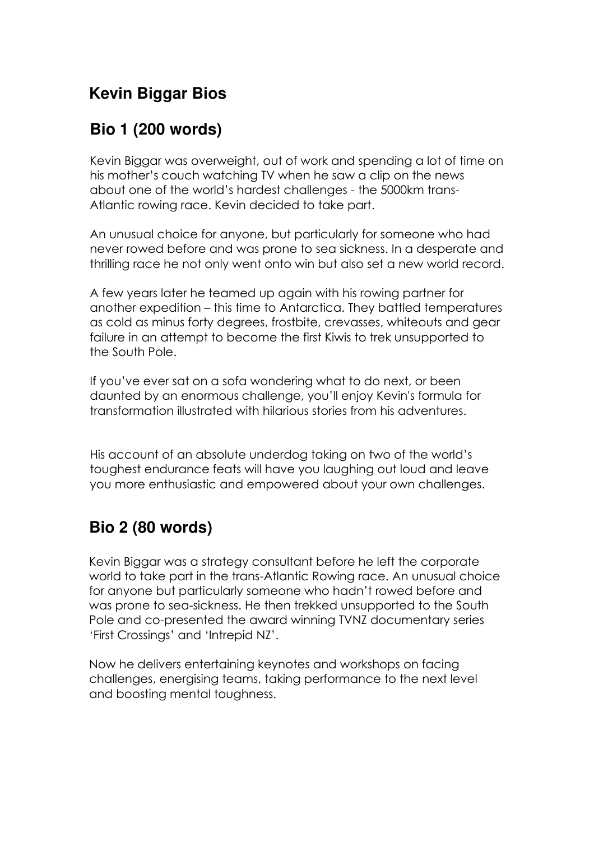# **Kevin Biggar Bios**

## **Bio 1 (200 words)**

Kevin Biggar was overweight, out of work and spending a lot of time on his mother's couch watching TV when he saw a clip on the news about one of the world's hardest challenges - the 5000km trans-Atlantic rowing race. Kevin decided to take part.

An unusual choice for anyone, but particularly for someone who had never rowed before and was prone to sea sickness. In a desperate and thrilling race he not only went onto win but also set a new world record.

A few years later he teamed up again with his rowing partner for another expedition – this time to Antarctica. They battled temperatures as cold as minus forty degrees, frostbite, crevasses, whiteouts and gear failure in an attempt to become the first Kiwis to trek unsupported to the South Pole.

If you've ever sat on a sofa wondering what to do next, or been daunted by an enormous challenge, you'll enjoy Kevin's formula for transformation illustrated with hilarious stories from his adventures.

His account of an absolute underdog taking on two of the world's toughest endurance feats will have you laughing out loud and leave you more enthusiastic and empowered about your own challenges.

## **Bio 2 (80 words)**

Kevin Biggar was a strategy consultant before he left the corporate world to take part in the trans-Atlantic Rowing race. An unusual choice for anyone but particularly someone who hadn't rowed before and was prone to sea-sickness. He then trekked unsupported to the South Pole and co-presented the award winning TVNZ documentary series 'First Crossings' and 'Intrepid NZ'.

Now he delivers entertaining keynotes and workshops on facing challenges, energising teams, taking performance to the next level and boosting mental toughness.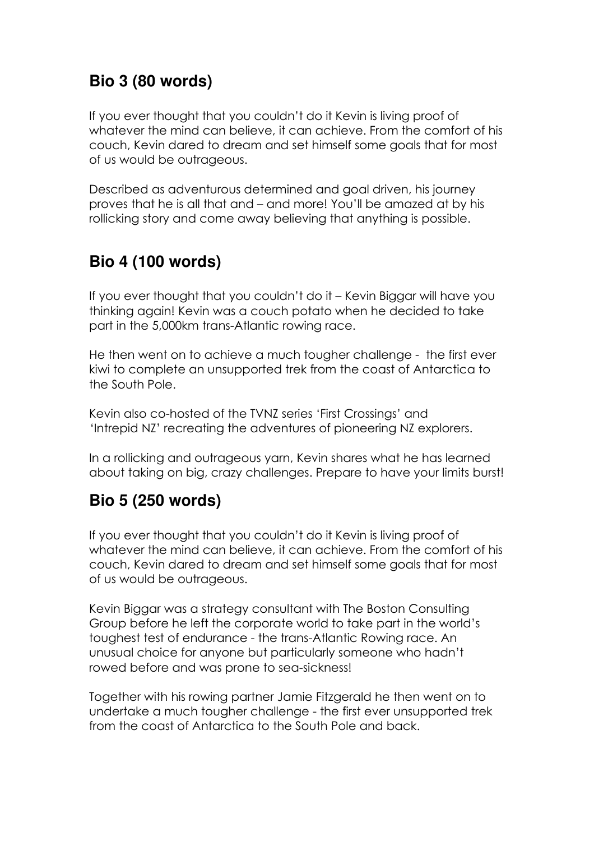## **Bio 3 (80 words)**

If you ever thought that you couldn't do it Kevin is living proof of whatever the mind can believe, it can achieve. From the comfort of his couch, Kevin dared to dream and set himself some goals that for most of us would be outrageous.

Described as adventurous determined and goal driven, his journey proves that he is all that and – and more! You'll be amazed at by his rollicking story and come away believing that anything is possible.

# **Bio 4 (100 words)**

If you ever thought that you couldn't do it – Kevin Biggar will have you thinking again! Kevin was a couch potato when he decided to take part in the 5,000km trans-Atlantic rowing race.

He then went on to achieve a much tougher challenge - the first ever kiwi to complete an unsupported trek from the coast of Antarctica to the South Pole.

Kevin also co-hosted of the TVNZ series 'First Crossings' and 'Intrepid NZ' recreating the adventures of pioneering NZ explorers.

In a rollicking and outrageous yarn, Kevin shares what he has learned about taking on big, crazy challenges. Prepare to have your limits burst!

### **Bio 5 (250 words)**

If you ever thought that you couldn't do it Kevin is living proof of whatever the mind can believe, it can achieve. From the comfort of his couch, Kevin dared to dream and set himself some goals that for most of us would be outrageous.

Kevin Biggar was a strategy consultant with The Boston Consulting Group before he left the corporate world to take part in the world's toughest test of endurance - the trans-Atlantic Rowing race. An unusual choice for anyone but particularly someone who hadn't rowed before and was prone to sea-sickness!

Together with his rowing partner Jamie Fitzgerald he then went on to undertake a much tougher challenge - the first ever unsupported trek from the coast of Antarctica to the South Pole and back.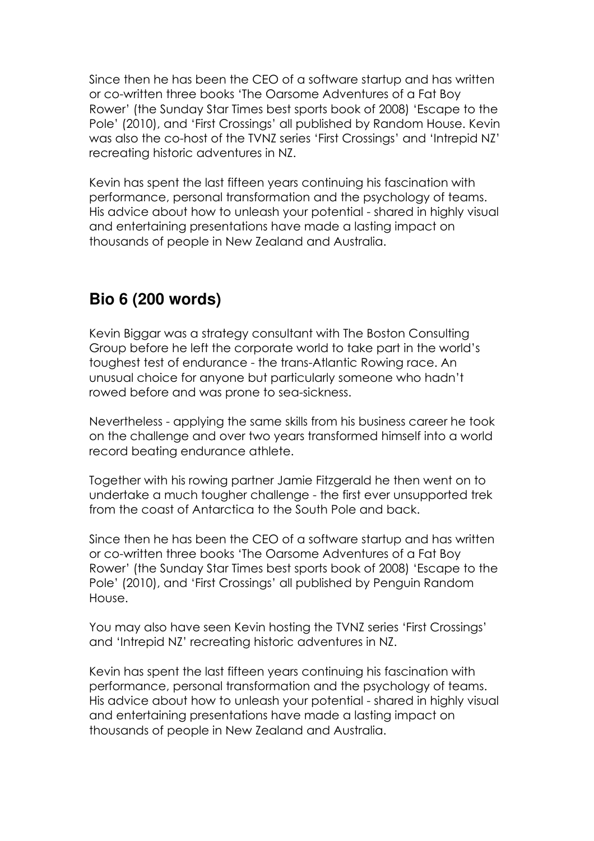Since then he has been the CEO of a software startup and has written or co-written three books 'The Oarsome Adventures of a Fat Boy Rower' (the Sunday Star Times best sports book of 2008) 'Escape to the Pole' (2010), and 'First Crossings' all published by Random House. Kevin was also the co-host of the TVNZ series 'First Crossings' and 'Intrepid NZ' recreating historic adventures in NZ.

Kevin has spent the last fifteen years continuing his fascination with performance, personal transformation and the psychology of teams. His advice about how to unleash your potential - shared in highly visual and entertaining presentations have made a lasting impact on thousands of people in New Zealand and Australia.

### **Bio 6 (200 words)**

Kevin Biggar was a strategy consultant with The Boston Consulting Group before he left the corporate world to take part in the world's toughest test of endurance - the trans-Atlantic Rowing race. An unusual choice for anyone but particularly someone who hadn't rowed before and was prone to sea-sickness.

Nevertheless - applying the same skills from his business career he took on the challenge and over two years transformed himself into a world record beating endurance athlete.

Together with his rowing partner Jamie Fitzgerald he then went on to undertake a much tougher challenge - the first ever unsupported trek from the coast of Antarctica to the South Pole and back.

Since then he has been the CEO of a software startup and has written or co-written three books 'The Oarsome Adventures of a Fat Boy Rower' (the Sunday Star Times best sports book of 2008) 'Escape to the Pole' (2010), and 'First Crossings' all published by Penguin Random House.

You may also have seen Kevin hosting the TVNZ series 'First Crossings' and 'Intrepid NZ' recreating historic adventures in NZ.

Kevin has spent the last fifteen years continuing his fascination with performance, personal transformation and the psychology of teams. His advice about how to unleash your potential - shared in highly visual and entertaining presentations have made a lasting impact on thousands of people in New Zealand and Australia.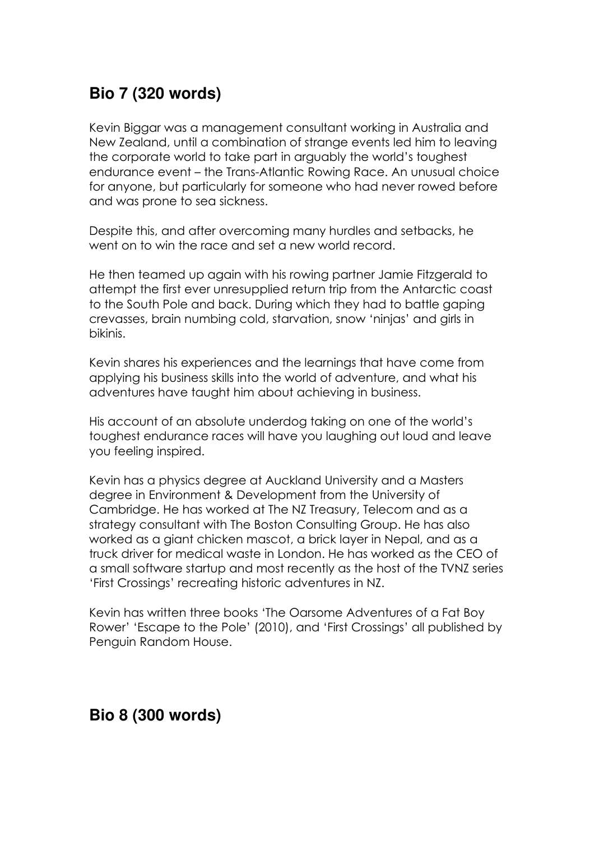## **Bio 7 (320 words)**

Kevin Biggar was a management consultant working in Australia and New Zealand, until a combination of strange events led him to leaving the corporate world to take part in arguably the world's toughest endurance event – the Trans-Atlantic Rowing Race. An unusual choice for anyone, but particularly for someone who had never rowed before and was prone to sea sickness.

Despite this, and after overcoming many hurdles and setbacks, he went on to win the race and set a new world record.

He then teamed up again with his rowing partner Jamie Fitzgerald to attempt the first ever unresupplied return trip from the Antarctic coast to the South Pole and back. During which they had to battle gaping crevasses, brain numbing cold, starvation, snow 'ninjas' and girls in bikinis.

Kevin shares his experiences and the learnings that have come from applying his business skills into the world of adventure, and what his adventures have taught him about achieving in business.

His account of an absolute underdog taking on one of the world's toughest endurance races will have you laughing out loud and leave you feeling inspired.

Kevin has a physics degree at Auckland University and a Masters degree in Environment & Development from the University of Cambridge. He has worked at The NZ Treasury, Telecom and as a strategy consultant with The Boston Consulting Group. He has also worked as a giant chicken mascot, a brick layer in Nepal, and as a truck driver for medical waste in London. He has worked as the CEO of a small software startup and most recently as the host of the TVNZ series 'First Crossings' recreating historic adventures in NZ.

Kevin has written three books 'The Oarsome Adventures of a Fat Boy Rower' 'Escape to the Pole' (2010), and 'First Crossings' all published by Penguin Random House.

### **Bio 8 (300 words)**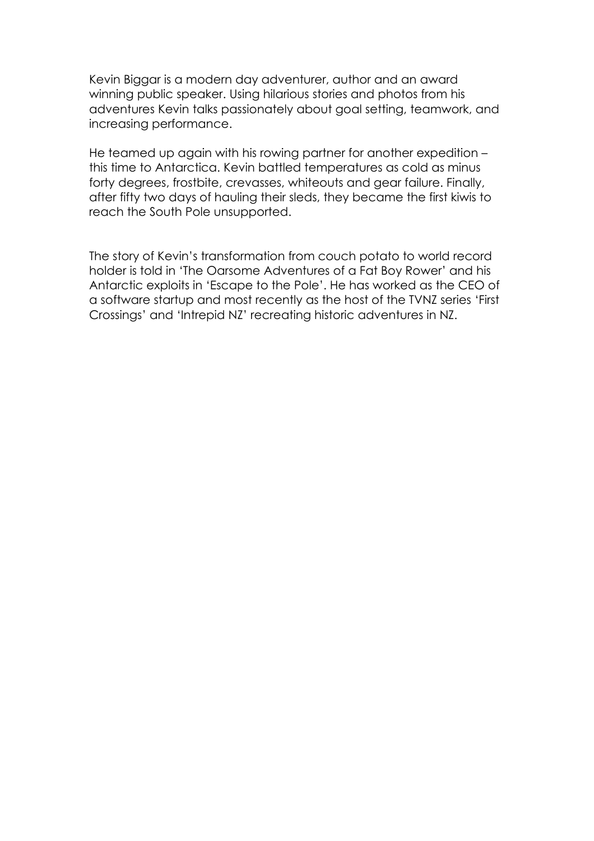Kevin Biggar is a modern day adventurer, author and an award winning public speaker. Using hilarious stories and photos from his adventures Kevin talks passionately about goal setting, teamwork, and increasing performance.

He teamed up again with his rowing partner for another expedition – this time to Antarctica. Kevin battled temperatures as cold as minus forty degrees, frostbite, crevasses, whiteouts and gear failure. Finally, after fifty two days of hauling their sleds, they became the first kiwis to reach the South Pole unsupported.

The story of Kevin's transformation from couch potato to world record holder is told in 'The Oarsome Adventures of a Fat Boy Rower' and his Antarctic exploits in 'Escape to the Pole'. He has worked as the CEO of a software startup and most recently as the host of the TVNZ series 'First Crossings' and 'Intrepid NZ' recreating historic adventures in NZ.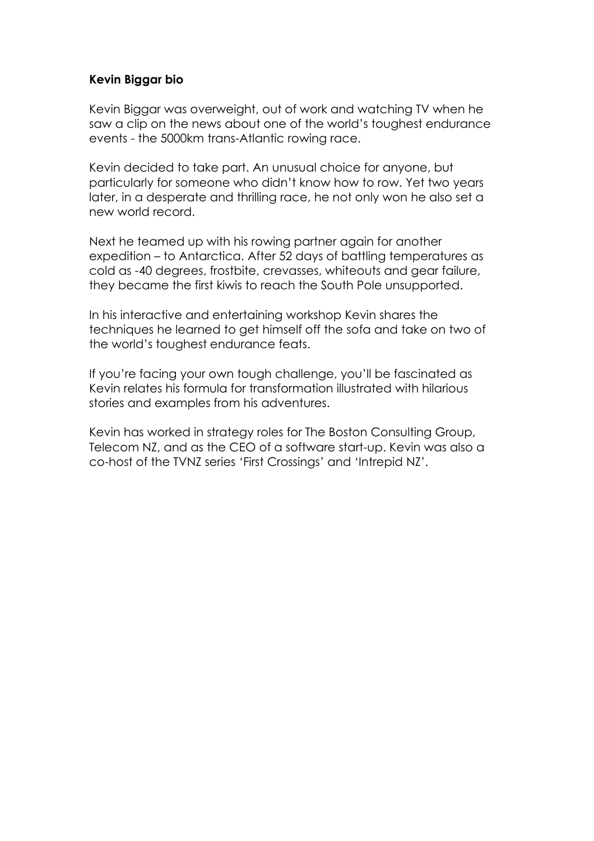### **Kevin Biggar bio**

Kevin Biggar was overweight, out of work and watching TV when he saw a clip on the news about one of the world's toughest endurance events - the 5000km trans-Atlantic rowing race.

Kevin decided to take part. An unusual choice for anyone, but particularly for someone who didn't know how to row. Yet two years later, in a desperate and thrilling race, he not only won he also set a new world record.

Next he teamed up with his rowing partner again for another expedition – to Antarctica. After 52 days of battling temperatures as cold as -40 degrees, frostbite, crevasses, whiteouts and gear failure, they became the first kiwis to reach the South Pole unsupported.

In his interactive and entertaining workshop Kevin shares the techniques he learned to get himself off the sofa and take on two of the world's toughest endurance feats.

If you're facing your own tough challenge, you'll be fascinated as Kevin relates his formula for transformation illustrated with hilarious stories and examples from his adventures.

Kevin has worked in strategy roles for The Boston Consulting Group, Telecom NZ, and as the CEO of a software start-up. Kevin was also a co-host of the TVNZ series 'First Crossings' and 'Intrepid NZ'.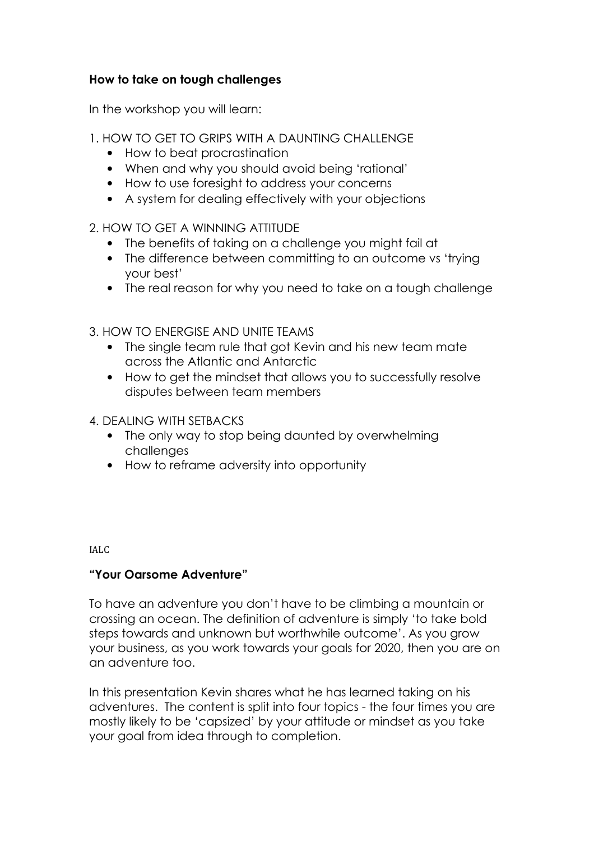### **How to take on tough challenges**

In the workshop you will learn:

- 1. HOW TO GET TO GRIPS WITH A DAUNTING CHALLENGE
	- How to beat procrastination
	- When and why you should avoid being 'rational'
	- How to use foresight to address your concerns
	- A system for dealing effectively with your objections
- 2. HOW TO GET A WINNING ATTITUDE
	- The benefits of taking on a challenge you might fail at
	- The difference between committing to an outcome vs 'trying your best'
	- The real reason for why you need to take on a tough challenge
- 3. HOW TO ENERGISE AND UNITE TEAMS
	- The single team rule that got Kevin and his new team mate across the Atlantic and Antarctic
	- How to get the mindset that allows you to successfully resolve disputes between team members
- 4. DEALING WITH SETBACKS
	- The only way to stop being daunted by overwhelming challenges
	- How to reframe adversity into opportunity

IALC

### **"Your Oarsome Adventure"**

To have an adventure you don't have to be climbing a mountain or crossing an ocean. The definition of adventure is simply 'to take bold steps towards and unknown but worthwhile outcome'. As you grow your business, as you work towards your goals for 2020, then you are on an adventure too.

In this presentation Kevin shares what he has learned taking on his adventures. The content is split into four topics - the four times you are mostly likely to be 'capsized' by your attitude or mindset as you take your goal from idea through to completion.